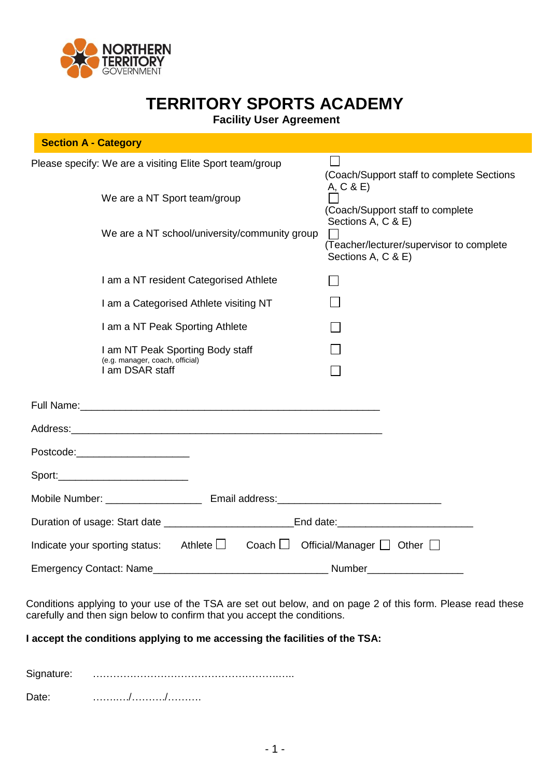

# **TERRITORY SPORTS ACADEMY**

**Facility User Agreement**

| <b>Section A - Category</b>                                                            |                                                                                      |
|----------------------------------------------------------------------------------------|--------------------------------------------------------------------------------------|
| Please specify: We are a visiting Elite Sport team/group                               | (Coach/Support staff to complete Sections                                            |
| We are a NT Sport team/group                                                           | A, C & E<br>(Coach/Support staff to complete                                         |
| We are a NT school/university/community group                                          | Sections A, C & E)<br>(Teacher/lecturer/supervisor to complete<br>Sections A, C & E) |
| I am a NT resident Categorised Athlete                                                 | $\mathcal{L}$                                                                        |
| I am a Categorised Athlete visiting NT                                                 |                                                                                      |
| I am a NT Peak Sporting Athlete                                                        |                                                                                      |
| I am NT Peak Sporting Body staff<br>(e.g. manager, coach, official)<br>I am DSAR staff |                                                                                      |
|                                                                                        |                                                                                      |
|                                                                                        |                                                                                      |
| Postcode:______________________                                                        |                                                                                      |
|                                                                                        |                                                                                      |
|                                                                                        |                                                                                      |
|                                                                                        |                                                                                      |
| Athlete $\Box$<br>Indicate your sporting status:                                       | Coach $\Box$ Official/Manager $\Box$ Other $\Box$                                    |
| <b>Emergency Contact: Name</b>                                                         | <b>Number</b>                                                                        |

Conditions applying to your use of the TSA are set out below, and on page 2 of this form. Please read these carefully and then sign below to confirm that you accept the conditions.

### **I accept the conditions applying to me accessing the facilities of the TSA:**

Signature: ……………………………………………….…..

Date: …….…./………./……….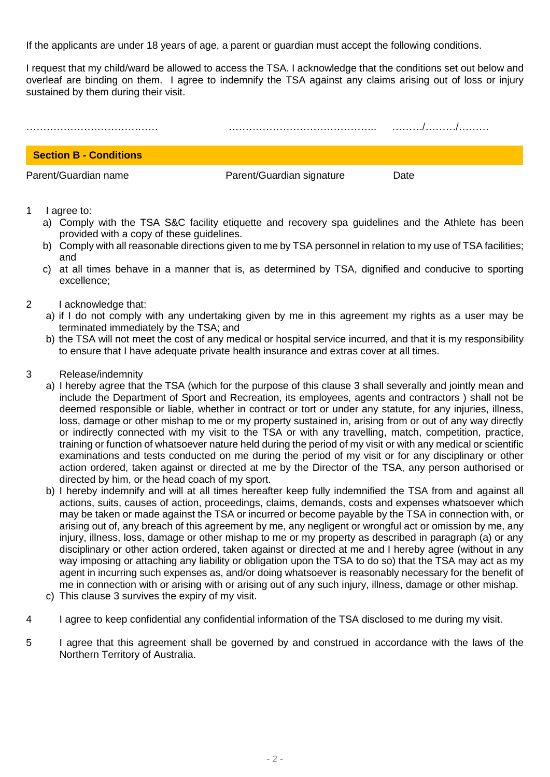If the applicants are under 18 years of age, a parent or guardian must accept the following conditions.

I request that my child/ward be allowed to access the TSA. I acknowledge that the conditions set out below and overleaf are binding on them. I agree to indemnify the TSA against any claims arising out of loss or injury sustained by them during their visit.



#### 1 I agree to:

- a) Comply with the TSA S&C facility etiquette and recovery spa guidelines and the Athlete has been provided with a copy of these guidelines.
- b) Comply with all reasonable directions given to me by TSA personnel in relation to my use of TSA facilities; and
- c) at all times behave in a manner that is, as determined by TSA, dignified and conducive to sporting excellence;
- 2 I acknowledge that:
	- a) if I do not comply with any undertaking given by me in this agreement my rights as a user may be terminated immediately by the TSA; and
	- b) the TSA will not meet the cost of any medical or hospital service incurred, and that it is my responsibility to ensure that I have adequate private health insurance and extras cover at all times.
- 3 Release/indemnity
	- a) I hereby agree that the TSA (which for the purpose of this clause 3 shall severally and jointly mean and include the Department of Sport and Recreation, its employees, agents and contractors ) shall not be deemed responsible or liable, whether in contract or tort or under any statute, for any injuries, illness, loss, damage or other mishap to me or my property sustained in, arising from or out of any way directly or indirectly connected with my visit to the TSA or with any travelling, match, competition, practice, training or function of whatsoever nature held during the period of my visit or with any medical or scientific examinations and tests conducted on me during the period of my visit or for any disciplinary or other action ordered, taken against or directed at me by the Director of the TSA, any person authorised or directed by him, or the head coach of my sport.
	- b) I hereby indemnify and will at all times hereafter keep fully indemnified the TSA from and against all actions, suits, causes of action, proceedings, claims, demands, costs and expenses whatsoever which may be taken or made against the TSA or incurred or become payable by the TSA in connection with, or arising out of, any breach of this agreement by me, any negligent or wrongful act or omission by me, any injury, illness, loss, damage or other mishap to me or my property as described in paragraph (a) or any disciplinary or other action ordered, taken against or directed at me and I hereby agree (without in any way imposing or attaching any liability or obligation upon the TSA to do so) that the TSA may act as my agent in incurring such expenses as, and/or doing whatsoever is reasonably necessary for the benefit of me in connection with or arising with or arising out of any such injury, illness, damage or other mishap.
	- c) This clause 3 survives the expiry of my visit.
- 4 I agree to keep confidential any confidential information of the TSA disclosed to me during my visit.
- 5 I agree that this agreement shall be governed by and construed in accordance with the laws of the Northern Territory of Australia.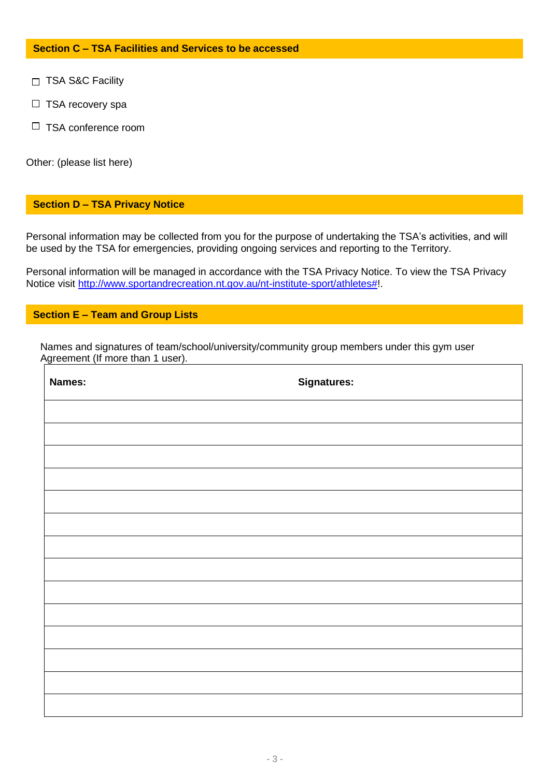### **Section C – TSA Facilities and Services to be accessed**

- □ TSA S&C Facility
- $\Box$  TSA recovery spa
- $\Box$  TSA conference room

Other: (please list here)

#### **Section D – TSA Privacy Notice**

Personal information may be collected from you for the purpose of undertaking the TSA's activities, and will be used by the TSA for emergencies, providing ongoing services and reporting to the Territory.

Personal information will be managed in accordance with the TSA Privacy Notice. To view the TSA Privacy Notice visit [http://www.sportandrecreation.nt.gov.au/nt-institute-sport/athletes#!](http://www.sportandrecreation.nt.gov.au/nt-institute-sport/athletes).

## **Section E – Team and Group Lists**

 Names and signatures of team/school/university/community group members under this gym user Agreement (If more than 1 user).

| Names: | <b>Signatures:</b> |
|--------|--------------------|
|        |                    |
|        |                    |
|        |                    |
|        |                    |
|        |                    |
|        |                    |
|        |                    |
|        |                    |
|        |                    |
|        |                    |
|        |                    |
|        |                    |
|        |                    |
|        |                    |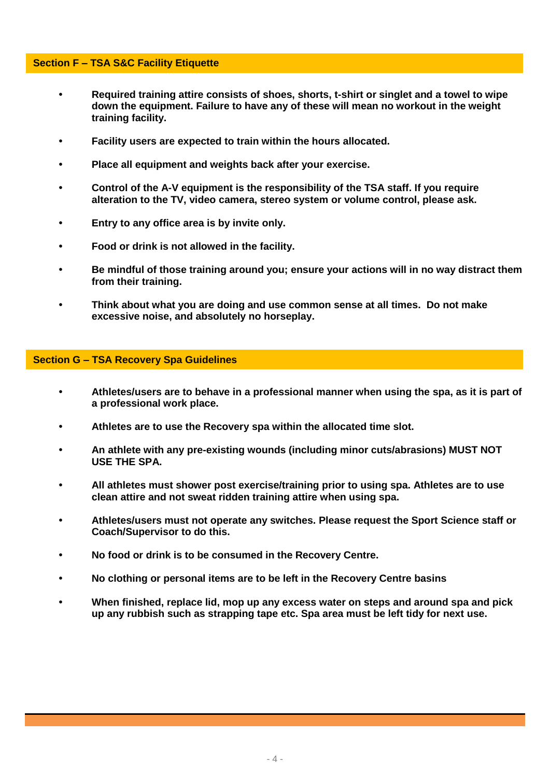#### **Section F – TSA S&C Facility Etiquette**

- **• Required training attire consists of shoes, shorts, t-shirt or singlet and a towel to wipe down the equipment. Failure to have any of these will mean no workout in the weight training facility.**
- **• Facility users are expected to train within the hours allocated.**
- **• Place all equipment and weights back after your exercise.**
- **• Control of the A-V equipment is the responsibility of the TSA staff. If you require alteration to the TV, video camera, stereo system or volume control, please ask.**
- **• Entry to any office area is by invite only.**
- **• Food or drink is not allowed in the facility.**
- **• Be mindful of those training around you; ensure your actions will in no way distract them from their training.**
- **• Think about what you are doing and use common sense at all times. Do not make excessive noise, and absolutely no horseplay.**

#### **Section G – TSA Recovery Spa Guidelines**

- **• Athletes/users are to behave in a professional manner when using the spa, as it is part of a professional work place.**
- **• Athletes are to use the Recovery spa within the allocated time slot.**
- **• An athlete with any pre-existing wounds (including minor cuts/abrasions) MUST NOT USE THE SPA.**
- **• All athletes must shower post exercise/training prior to using spa. Athletes are to use clean attire and not sweat ridden training attire when using spa.**
- **• Athletes/users must not operate any switches. Please request the Sport Science staff or Coach/Supervisor to do this.**
- **• No food or drink is to be consumed in the Recovery Centre.**
- **• No clothing or personal items are to be left in the Recovery Centre basins**
- **• When finished, replace lid, mop up any excess water on steps and around spa and pick up any rubbish such as strapping tape etc. Spa area must be left tidy for next use.**